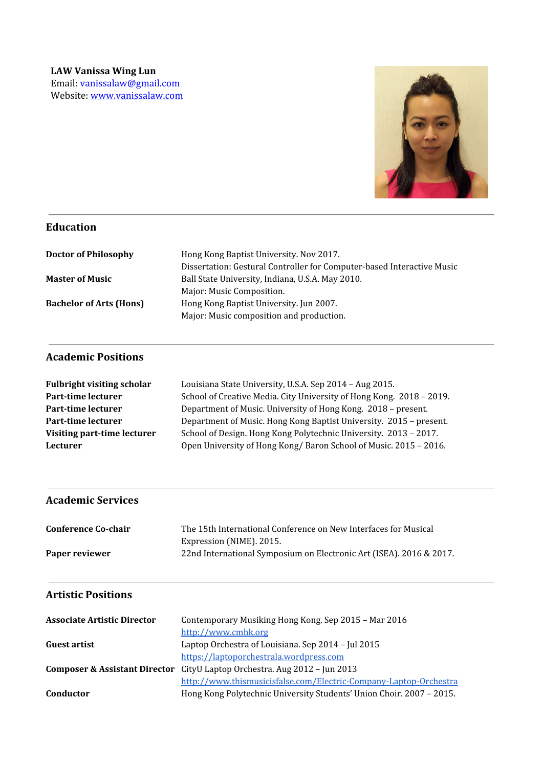

## **Education**

| <b>Doctor of Philosophy</b>    | Hong Kong Baptist University. Nov 2017.                                |
|--------------------------------|------------------------------------------------------------------------|
|                                | Dissertation: Gestural Controller for Computer-based Interactive Music |
| <b>Master of Music</b>         | Ball State University, Indiana, U.S.A. May 2010.                       |
|                                | Major: Music Composition.                                              |
| <b>Bachelor of Arts (Hons)</b> | Hong Kong Baptist University. Jun 2007.                                |
|                                | Major: Music composition and production.                               |

## **Academic Positions**

| <b>Fulbright visiting scholar</b> | Louisiana State University, U.S.A. Sep 2014 - Aug 2015.              |
|-----------------------------------|----------------------------------------------------------------------|
| Part-time lecturer                | School of Creative Media. City University of Hong Kong. 2018 - 2019. |
| Part-time lecturer                | Department of Music. University of Hong Kong. 2018 - present.        |
| Part-time lecturer                | Department of Music. Hong Kong Baptist University. 2015 - present.   |
| Visiting part-time lecturer       | School of Design. Hong Kong Polytechnic University. 2013 - 2017.     |
| <b>Lecturer</b>                   | Open University of Hong Kong/Baron School of Music. 2015 - 2016.     |

# **Academic Services**

| <b>Conference Co-chair</b> | The 15th International Conference on New Interfaces for Musical     |
|----------------------------|---------------------------------------------------------------------|
|                            | Expression (NIME). 2015.                                            |
| Paper reviewer             | 22nd International Symposium on Electronic Art (ISEA). 2016 & 2017. |

# **Artistic Positions**

| <b>Associate Artistic Director</b> | Contemporary Musiking Hong Kong. Sep 2015 - Mar 2016                                 |
|------------------------------------|--------------------------------------------------------------------------------------|
|                                    | http://www.cmhk.org                                                                  |
| <b>Guest artist</b>                | Laptop Orchestra of Louisiana. Sep 2014 - Jul 2015                                   |
|                                    | https://laptoporchestrala.wordpress.com                                              |
|                                    | <b>Composer &amp; Assistant Director</b> CityU Laptop Orchestra. Aug 2012 - Jun 2013 |
|                                    | http://www.thismusicisfalse.com/Electric-Company-Laptop-Orchestra                    |
| Conductor                          | Hong Kong Polytechnic University Students' Union Choir. 2007 - 2015.                 |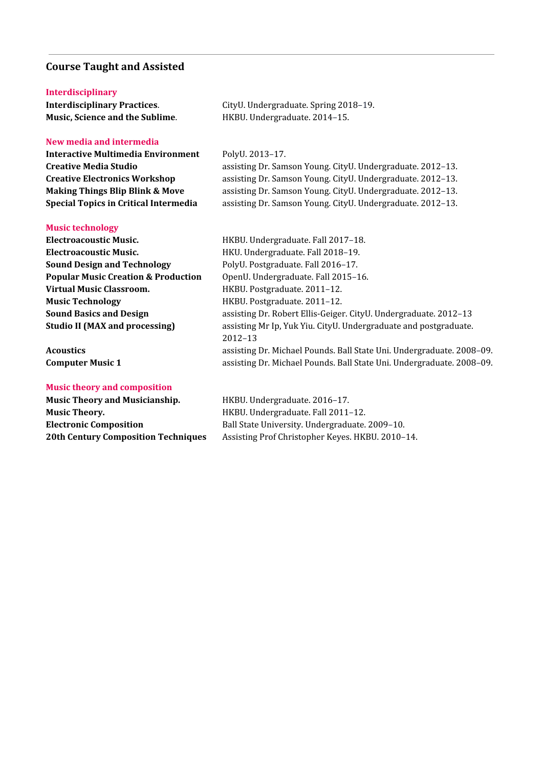### **Course Taught and Assisted**

#### **Interdisciplinary**

**Interdisciplinary Practices**. CityU. Undergraduate. Spring 2018–19. **Music, Science and the Sublime**. HKBU. Undergraduate. 2014–15.

#### **New media and intermedia**

**Interactive Multimedia Environment** PolyU. 2013–17.

#### **Music technology**

**Electroacoustic Music.** HKBU. Undergraduate. Fall 2017–18. **Electroacoustic Music.** HKU. Undergraduate. Fall 2018–19. **Sound Design and Technology** PolyU. Postgraduate. Fall 2016-17. **Popular Music Creation & Production** OpenU. Undergraduate. Fall 2015–16. **Virtual Music Classroom.** HKBU. Postgraduate. 2011–12. **Music Technology** HKBU. Postgraduate. 2011–12.

#### **Music theory and composition**

**Music Theory and Musicianship.** HKBU. Undergraduate. 2016–17. **Music Theory.** HKBU. Undergraduate. Fall 2011–12.

**Creative Media Studio** assisting Dr. Samson Young. CityU. Undergraduate. 2012–13. **Creative Electronics Workshop** assisting Dr. Samson Young. CityU. Undergraduate. 2012–13. **Making Things Blip Blink & Move** assisting Dr. Samson Young. CityU. Undergraduate. 2012–13. **Special Topics in Critical Intermedia** assisting Dr. Samson Young. CityU. Undergraduate. 2012–13.

**Sound Basics and Design** assisting Dr. Robert Ellis-Geiger. CityU. Undergraduate. 2012–13 **Studio II (MAX and processing)** assisting Mr Ip, Yuk Yiu. CityU. Undergraduate and postgraduate. 2012–13 **Acoustics** assisting Dr. Michael Pounds. Ball State Uni. Undergraduate. 2008–09. **Computer Music 1** assisting Dr. Michael Pounds. Ball State Uni. Undergraduate. 2008–09.

**Electronic Composition** Ball State University. Undergraduate. 2009–10. **20th Century Composition Techniques** Assisting Prof Christopher Keyes. HKBU. 2010–14.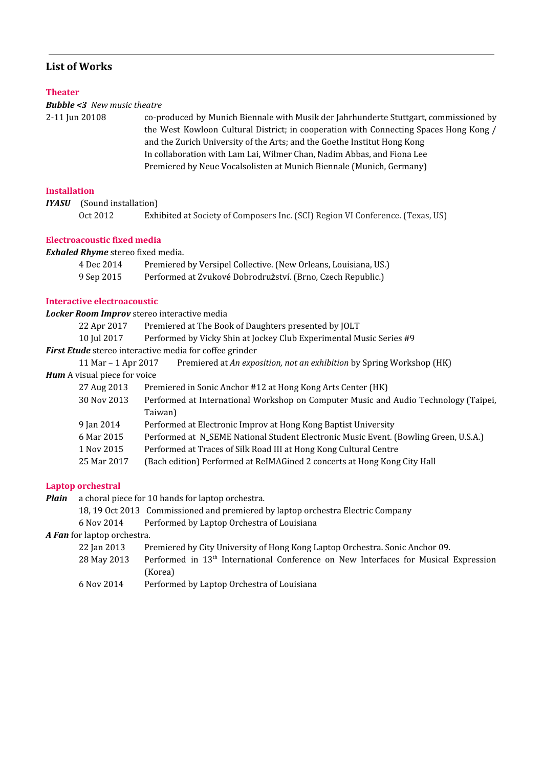## **List of Works**

#### **Theater**

#### *Bubble <3 New music theatre*

2-11 Jun 20108 co-produced by Munich Biennale with Musik der Jahrhunderte Stuttgart, commissioned by the West Kowloon Cultural District; in cooperation with Connecting Spaces Hong Kong / and the Zurich University of the Arts; and the Goethe Institut Hong Kong In collaboration with Lam Lai, Wilmer Chan, Nadim Abbas, and Fiona Lee Premiered by Neue Vocalsolisten at Munich Biennale (Munich, Germany)

### **Installation**

*IYASU* (Sound installation)

Oct 2012 Exhibited at Society of Composers Inc. (SCI) Region VI Conference. (Texas, US)

### **Electroacoustic fixed media**

*Exhaled Rhyme* stereo fixed media.

| 4 Dec 2014 | Premiered by Versipel Collective. (New Orleans, Louisiana, US.) |
|------------|-----------------------------------------------------------------|
| 9 Sep 2015 | Performed at Zvukové Dobrodružství. (Brno, Czech Republic.)     |

### **Interactive electroacoustic**

*Locker Room Improv* stereo interactive media 22 Apr 2017 Premiered at The Book of Daughters presented by JOLT 10 Jul 2017 Performed by Vicky Shin at Jockey Club Experimental Music Series #9 *First Etude* stereo interactive media for coffee grinder 11 Mar – 1 Apr 2017 Premiered at *An exposition, not an exhibition* by Spring Workshop (HK) *Hum* A visual piece for voice 27 Aug 2013 Premiered in Sonic Anchor #12 at Hong Kong Arts Center (HK) 30 Nov 2013 Performed at International Workshop on Computer Music and Audio Technology (Taipei, Taiwan) 9 Jan 2014 Performed at Electronic Improv at Hong Kong Baptist University 6 Mar 2015 Performed at N\_SEME National Student Electronic Music Event. (Bowling Green, U.S.A.) 1 Nov 2015 Performed at Traces of Silk Road III at Hong Kong Cultural Centre

25 Mar 2017 (Bach edition) Performed at ReIMAGined 2 concerts at Hong Kong City Hall

### **Laptop orchestral**

*Plain* a choral piece for 10 hands for laptop orchestra.

18, 19 Oct 2013 Commissioned and premiered by laptop orchestra Electric Company

6 Nov 2014 Performed by Laptop Orchestra of Louisiana

*A Fan* for laptop orchestra.

- 22 Jan 2013 Premiered by City University of Hong Kong Laptop Orchestra. Sonic Anchor 09.
- 28 May 2013 Performed in 13<sup>th</sup> International Conference on New Interfaces for Musical Expression (Korea)
- 6 Nov 2014 Performed by Laptop Orchestra of Louisiana